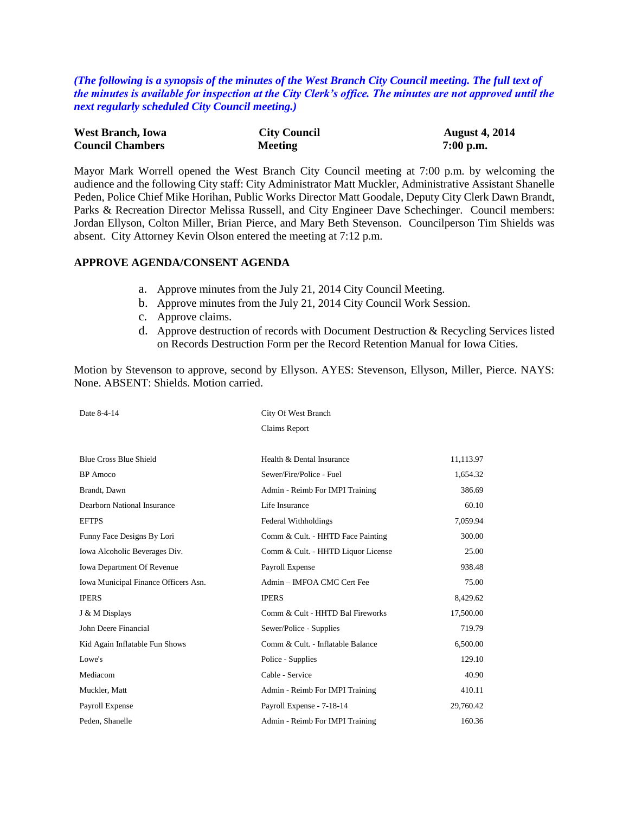*(The following is a synopsis of the minutes of the West Branch City Council meeting. The full text of the minutes is available for inspection at the City Clerk's office. The minutes are not approved until the next regularly scheduled City Council meeting.)*

| <b>West Branch, Iowa</b> | <b>City Council</b> | <b>August 4, 2014</b> |
|--------------------------|---------------------|-----------------------|
| <b>Council Chambers</b>  | Meeting             | $7:00$ p.m.           |

Mayor Mark Worrell opened the West Branch City Council meeting at 7:00 p.m. by welcoming the audience and the following City staff: City Administrator Matt Muckler, Administrative Assistant Shanelle Peden, Police Chief Mike Horihan, Public Works Director Matt Goodale, Deputy City Clerk Dawn Brandt, Parks & Recreation Director Melissa Russell, and City Engineer Dave Schechinger. Council members: Jordan Ellyson, Colton Miller, Brian Pierce, and Mary Beth Stevenson. Councilperson Tim Shields was absent. City Attorney Kevin Olson entered the meeting at 7:12 p.m.

## **APPROVE AGENDA/CONSENT AGENDA**

- a. Approve minutes from the July 21, 2014 City Council Meeting.
- b. Approve minutes from the July 21, 2014 City Council Work Session.
- c. Approve claims.
- d. Approve destruction of records with Document Destruction & Recycling Services listed on Records Destruction Form per the Record Retention Manual for Iowa Cities.

Motion by Stevenson to approve, second by Ellyson. AYES: Stevenson, Ellyson, Miller, Pierce. NAYS: None. ABSENT: Shields. Motion carried.

| Date 8-4-14                          | City Of West Branch                |           |  |
|--------------------------------------|------------------------------------|-----------|--|
|                                      | Claims Report                      |           |  |
| <b>Blue Cross Blue Shield</b>        | Health & Dental Insurance          | 11,113.97 |  |
| <b>BP</b> Amoco                      | Sewer/Fire/Police - Fuel           | 1,654.32  |  |
| Brandt, Dawn                         | Admin - Reimb For IMPI Training    | 386.69    |  |
| Dearborn National Insurance          | Life Insurance                     | 60.10     |  |
| <b>EFTPS</b>                         | Federal Withholdings               | 7,059.94  |  |
| Funny Face Designs By Lori           | Comm & Cult. - HHTD Face Painting  | 300.00    |  |
| Iowa Alcoholic Beverages Div.        | Comm & Cult. - HHTD Liquor License | 25.00     |  |
| <b>Iowa Department Of Revenue</b>    | Payroll Expense                    | 938.48    |  |
| Iowa Municipal Finance Officers Asn. | Admin - IMFOA CMC Cert Fee         | 75.00     |  |
| <b>IPERS</b>                         | <b>IPERS</b>                       | 8,429.62  |  |
| J & M Displays                       | Comm & Cult - HHTD Bal Fireworks   | 17,500.00 |  |
| John Deere Financial                 | Sewer/Police - Supplies            | 719.79    |  |
| Kid Again Inflatable Fun Shows       | Comm & Cult. - Inflatable Balance  | 6,500.00  |  |
| Lowe's                               | Police - Supplies                  | 129.10    |  |
| Mediacom                             | Cable - Service                    | 40.90     |  |
| Muckler, Matt                        | Admin - Reimb For IMPI Training    | 410.11    |  |
| Payroll Expense                      | Payroll Expense - 7-18-14          | 29,760.42 |  |
| Peden, Shanelle                      | Admin - Reimb For IMPI Training    | 160.36    |  |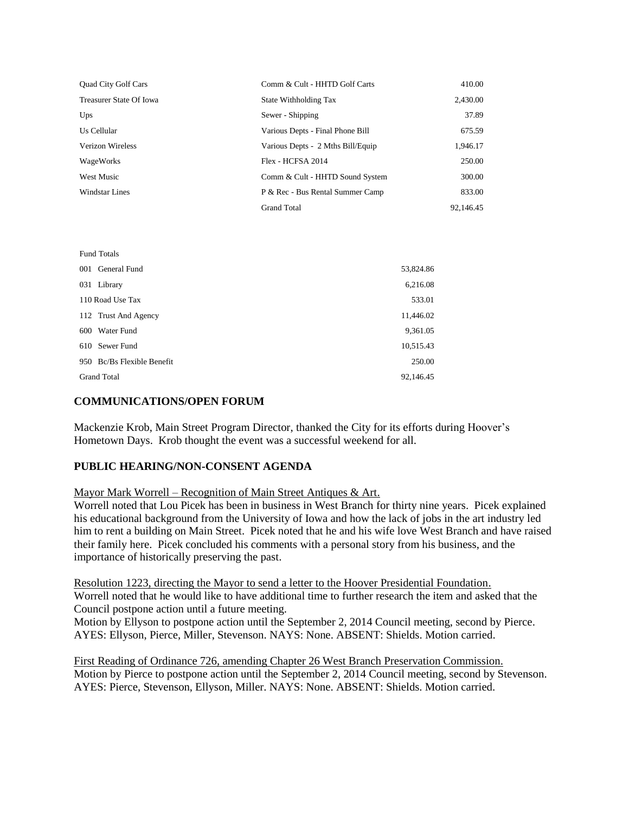| <b>Quad City Golf Cars</b> | Comm & Cult - HHTD Golf Carts     | 410.00    |
|----------------------------|-----------------------------------|-----------|
| Treasurer State Of Iowa    | State Withholding Tax             | 2,430.00  |
| Ups                        | Sewer - Shipping                  | 37.89     |
| Us Cellular                | Various Depts - Final Phone Bill  | 675.59    |
| Verizon Wireless           | Various Depts - 2 Mths Bill/Equip | 1,946.17  |
| WageWorks                  | Flex - HCFSA 2014                 | 250.00    |
| <b>West Music</b>          | Comm & Cult - HHTD Sound System   | 300.00    |
| Windstar Lines             | P & Rec - Bus Rental Summer Camp  | 833.00    |
|                            | <b>Grand Total</b>                | 92,146.45 |

| <b>Fund Totals</b>         |           |
|----------------------------|-----------|
| 001 General Fund           | 53,824.86 |
| 031 Library                | 6,216.08  |
| 110 Road Use Tax           | 533.01    |
| 112 Trust And Agency       | 11,446.02 |
| 600 Water Fund             | 9,361.05  |
| 610 Sewer Fund             | 10,515.43 |
| 950 Bc/Bs Flexible Benefit | 250.00    |
| <b>Grand Total</b>         | 92,146.45 |

# **COMMUNICATIONS/OPEN FORUM**

Mackenzie Krob, Main Street Program Director, thanked the City for its efforts during Hoover's Hometown Days. Krob thought the event was a successful weekend for all.

## **PUBLIC HEARING/NON-CONSENT AGENDA**

#### Mayor Mark Worrell – Recognition of Main Street Antiques & Art.

Worrell noted that Lou Picek has been in business in West Branch for thirty nine years. Picek explained his educational background from the University of Iowa and how the lack of jobs in the art industry led him to rent a building on Main Street. Picek noted that he and his wife love West Branch and have raised their family here. Picek concluded his comments with a personal story from his business, and the importance of historically preserving the past.

Resolution 1223, directing the Mayor to send a letter to the Hoover Presidential Foundation. Worrell noted that he would like to have additional time to further research the item and asked that the Council postpone action until a future meeting. Motion by Ellyson to postpone action until the September 2, 2014 Council meeting, second by Pierce.

AYES: Ellyson, Pierce, Miller, Stevenson. NAYS: None. ABSENT: Shields. Motion carried.

First Reading of Ordinance 726, amending Chapter 26 West Branch Preservation Commission. Motion by Pierce to postpone action until the September 2, 2014 Council meeting, second by Stevenson. AYES: Pierce, Stevenson, Ellyson, Miller. NAYS: None. ABSENT: Shields. Motion carried.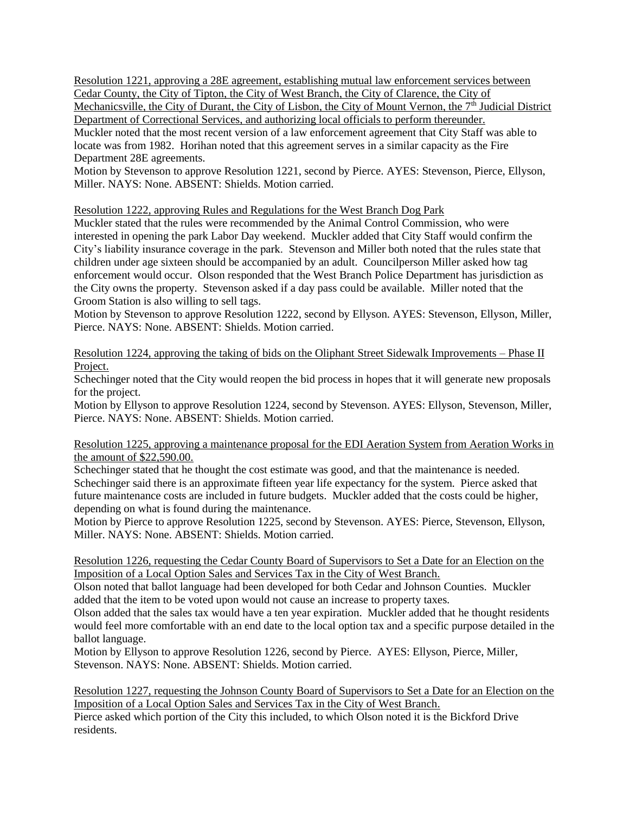Resolution 1221, approving a 28E agreement, establishing mutual law enforcement services between Cedar County, the City of Tipton, the City of West Branch, the City of Clarence, the City of

Mechanicsville, the City of Durant, the City of Lisbon, the City of Mount Vernon, the 7<sup>th</sup> Judicial District Department of Correctional Services, and authorizing local officials to perform thereunder.

Muckler noted that the most recent version of a law enforcement agreement that City Staff was able to locate was from 1982. Horihan noted that this agreement serves in a similar capacity as the Fire Department 28E agreements.

Motion by Stevenson to approve Resolution 1221, second by Pierce. AYES: Stevenson, Pierce, Ellyson, Miller. NAYS: None. ABSENT: Shields. Motion carried.

Resolution 1222, approving Rules and Regulations for the West Branch Dog Park

Muckler stated that the rules were recommended by the Animal Control Commission, who were interested in opening the park Labor Day weekend. Muckler added that City Staff would confirm the City's liability insurance coverage in the park. Stevenson and Miller both noted that the rules state that children under age sixteen should be accompanied by an adult. Councilperson Miller asked how tag enforcement would occur. Olson responded that the West Branch Police Department has jurisdiction as the City owns the property. Stevenson asked if a day pass could be available. Miller noted that the Groom Station is also willing to sell tags.

Motion by Stevenson to approve Resolution 1222, second by Ellyson. AYES: Stevenson, Ellyson, Miller, Pierce. NAYS: None. ABSENT: Shields. Motion carried.

Resolution 1224, approving the taking of bids on the Oliphant Street Sidewalk Improvements – Phase II Project.

Schechinger noted that the City would reopen the bid process in hopes that it will generate new proposals for the project.

Motion by Ellyson to approve Resolution 1224, second by Stevenson. AYES: Ellyson, Stevenson, Miller, Pierce. NAYS: None. ABSENT: Shields. Motion carried.

Resolution 1225, approving a maintenance proposal for the EDI Aeration System from Aeration Works in the amount of \$22,590.00.

Schechinger stated that he thought the cost estimate was good, and that the maintenance is needed. Schechinger said there is an approximate fifteen year life expectancy for the system. Pierce asked that future maintenance costs are included in future budgets. Muckler added that the costs could be higher, depending on what is found during the maintenance.

Motion by Pierce to approve Resolution 1225, second by Stevenson. AYES: Pierce, Stevenson, Ellyson, Miller. NAYS: None. ABSENT: Shields. Motion carried.

Resolution 1226, requesting the Cedar County Board of Supervisors to Set a Date for an Election on the Imposition of a Local Option Sales and Services Tax in the City of West Branch.

Olson noted that ballot language had been developed for both Cedar and Johnson Counties. Muckler added that the item to be voted upon would not cause an increase to property taxes.

Olson added that the sales tax would have a ten year expiration. Muckler added that he thought residents would feel more comfortable with an end date to the local option tax and a specific purpose detailed in the ballot language.

Motion by Ellyson to approve Resolution 1226, second by Pierce. AYES: Ellyson, Pierce, Miller, Stevenson. NAYS: None. ABSENT: Shields. Motion carried.

Resolution 1227, requesting the Johnson County Board of Supervisors to Set a Date for an Election on the Imposition of a Local Option Sales and Services Tax in the City of West Branch.

Pierce asked which portion of the City this included, to which Olson noted it is the Bickford Drive residents.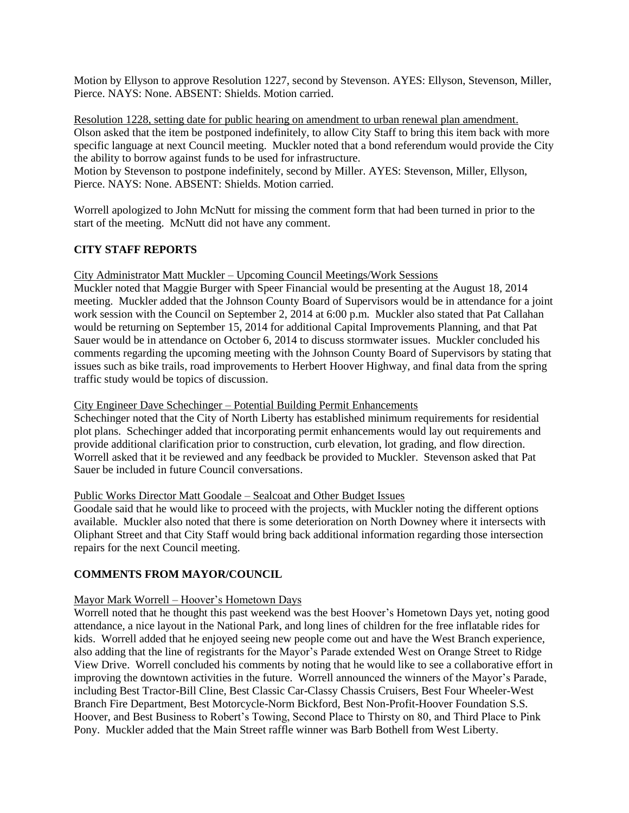Motion by Ellyson to approve Resolution 1227, second by Stevenson. AYES: Ellyson, Stevenson, Miller, Pierce. NAYS: None. ABSENT: Shields. Motion carried.

Resolution 1228, setting date for public hearing on amendment to urban renewal plan amendment. Olson asked that the item be postponed indefinitely, to allow City Staff to bring this item back with more specific language at next Council meeting. Muckler noted that a bond referendum would provide the City the ability to borrow against funds to be used for infrastructure.

Motion by Stevenson to postpone indefinitely, second by Miller. AYES: Stevenson, Miller, Ellyson, Pierce. NAYS: None. ABSENT: Shields. Motion carried.

Worrell apologized to John McNutt for missing the comment form that had been turned in prior to the start of the meeting. McNutt did not have any comment.

# **CITY STAFF REPORTS**

City Administrator Matt Muckler – Upcoming Council Meetings/Work Sessions

Muckler noted that Maggie Burger with Speer Financial would be presenting at the August 18, 2014 meeting. Muckler added that the Johnson County Board of Supervisors would be in attendance for a joint work session with the Council on September 2, 2014 at 6:00 p.m. Muckler also stated that Pat Callahan would be returning on September 15, 2014 for additional Capital Improvements Planning, and that Pat Sauer would be in attendance on October 6, 2014 to discuss stormwater issues. Muckler concluded his comments regarding the upcoming meeting with the Johnson County Board of Supervisors by stating that issues such as bike trails, road improvements to Herbert Hoover Highway, and final data from the spring traffic study would be topics of discussion.

### City Engineer Dave Schechinger – Potential Building Permit Enhancements

Schechinger noted that the City of North Liberty has established minimum requirements for residential plot plans. Schechinger added that incorporating permit enhancements would lay out requirements and provide additional clarification prior to construction, curb elevation, lot grading, and flow direction. Worrell asked that it be reviewed and any feedback be provided to Muckler. Stevenson asked that Pat Sauer be included in future Council conversations.

#### Public Works Director Matt Goodale – Sealcoat and Other Budget Issues

Goodale said that he would like to proceed with the projects, with Muckler noting the different options available. Muckler also noted that there is some deterioration on North Downey where it intersects with Oliphant Street and that City Staff would bring back additional information regarding those intersection repairs for the next Council meeting.

## **COMMENTS FROM MAYOR/COUNCIL**

## Mayor Mark Worrell – Hoover's Hometown Days

Worrell noted that he thought this past weekend was the best Hoover's Hometown Days yet, noting good attendance, a nice layout in the National Park, and long lines of children for the free inflatable rides for kids. Worrell added that he enjoyed seeing new people come out and have the West Branch experience, also adding that the line of registrants for the Mayor's Parade extended West on Orange Street to Ridge View Drive. Worrell concluded his comments by noting that he would like to see a collaborative effort in improving the downtown activities in the future. Worrell announced the winners of the Mayor's Parade, including Best Tractor-Bill Cline, Best Classic Car-Classy Chassis Cruisers, Best Four Wheeler-West Branch Fire Department, Best Motorcycle-Norm Bickford, Best Non-Profit-Hoover Foundation S.S. Hoover, and Best Business to Robert's Towing, Second Place to Thirsty on 80, and Third Place to Pink Pony. Muckler added that the Main Street raffle winner was Barb Bothell from West Liberty.